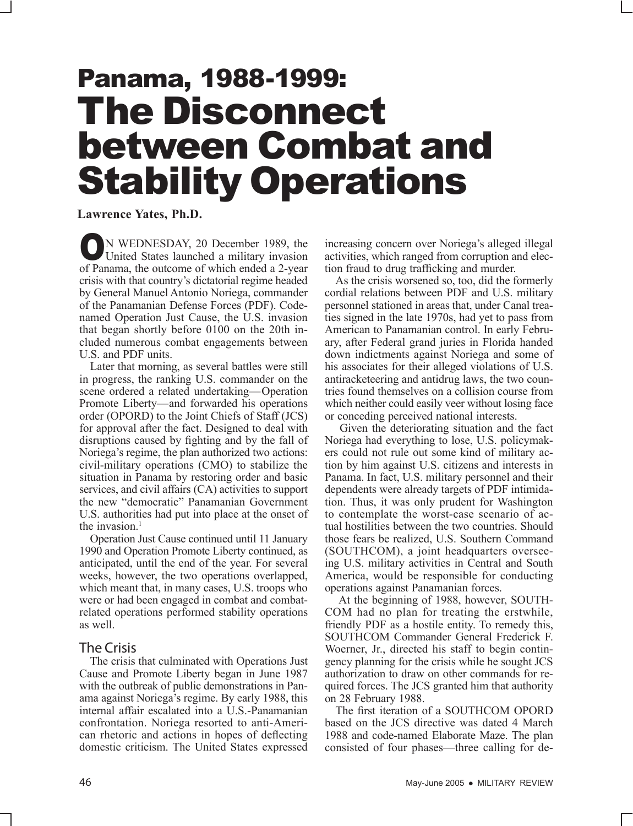# Panama, 1988-1999: The Disconnect between Combat and Stability Operations

## **Lawrence Yates, Ph.D.**

ON WEDNESDAY, 20 December 1989, the United States launched a military invasion of Panama, the outcome of which ended a 2-year crisis with that country's dictatorial regime headed by General Manuel Antonio Noriega, commander of the Panamanian Defense Forces (PDF). Codenamed Operation Just Cause, the U.S. invasion that began shortly before 0100 on the 20th included numerous combat engagements between U.S. and PDF units.

Later that morning, as several battles were still in progress, the ranking U.S. commander on the scene ordered a related undertaking—Operation Promote Liberty—and forwarded his operations order (OPORD) to the Joint Chiefs of Staff (JCS) for approval after the fact. Designed to deal with disruptions caused by fighting and by the fall of Noriega's regime, the plan authorized two actions: civil-military operations (CMO) to stabilize the situation in Panama by restoring order and basic services, and civil affairs (CA) activities to support the new "democratic" Panamanian Government U.S. authorities had put into place at the onset of the invasion. $<sup>1</sup>$ </sup>

Operation Just Cause continued until 11 January 1990 and Operation Promote Liberty continued, as anticipated, until the end of the year. For several weeks, however, the two operations overlapped, which meant that, in many cases, U.S. troops who were or had been engaged in combat and combatrelated operations performed stability operations as well.

### The Crisis

The crisis that culminated with Operations Just Cause and Promote Liberty began in June 1987 with the outbreak of public demonstrations in Panama against Noriega's regime. By early 1988, this internal affair escalated into a U.S.-Panamanian confrontation. Noriega resorted to anti-American rhetoric and actions in hopes of deflecting domestic criticism. The United States expressed

increasing concern over Noriega's alleged illegal activities, which ranged from corruption and election fraud to drug trafficking and murder.

As the crisis worsened so, too, did the formerly cordial relations between PDF and U.S. military personnel stationed in areas that, under Canal treaties signed in the late 1970s, had yet to pass from American to Panamanian control. In early February, after Federal grand juries in Florida handed down indictments against Noriega and some of his associates for their alleged violations of U.S. antiracketeering and antidrug laws, the two countries found themselves on a collision course from which neither could easily veer without losing face or conceding perceived national interests.

 Given the deteriorating situation and the fact Noriega had everything to lose, U.S. policymakers could not rule out some kind of military action by him against U.S. citizens and interests in Panama. In fact, U.S. military personnel and their dependents were already targets of PDF intimidation. Thus, it was only prudent for Washington to contemplate the worst-case scenario of actual hostilities between the two countries. Should those fears be realized, U.S. Southern Command (SOUTHCOM), a joint headquarters overseeing U.S. military activities in Central and South America, would be responsible for conducting operations against Panamanian forces.

 At the beginning of 1988, however, SOUTH-COM had no plan for treating the erstwhile, friendly PDF as a hostile entity. To remedy this, SOUTHCOM Commander General Frederick F. Woerner, Jr., directed his staff to begin contingency planning for the crisis while he sought JCS authorization to draw on other commands for required forces. The JCS granted him that authority on 28 February 1988.

The first iteration of a SOUTHCOM OPORD based on the JCS directive was dated 4 March 1988 and code-named Elaborate Maze. The plan consisted of four phases—three calling for de-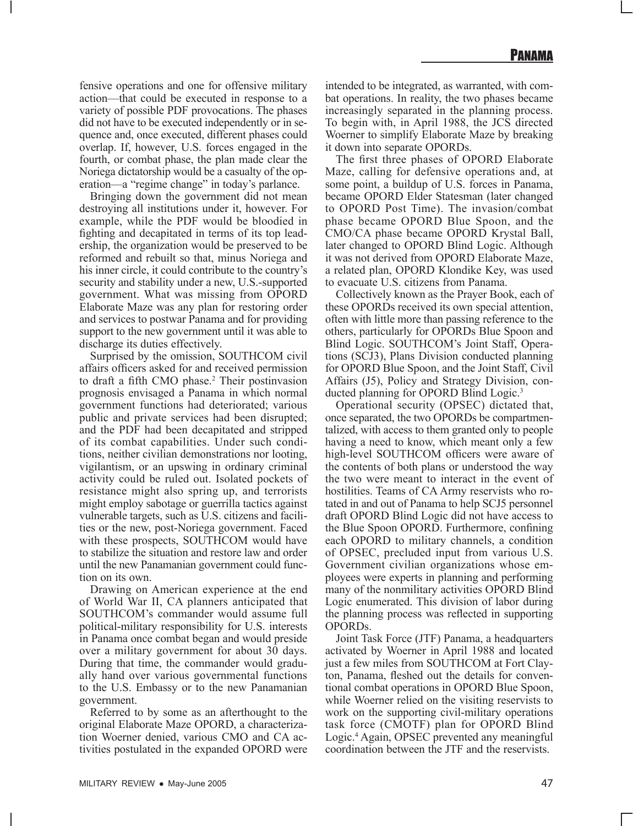fensive operations and one for offensive military action—that could be executed in response to a variety of possible PDF provocations. The phases did not have to be executed independently or in sequence and, once executed, different phases could overlap. If, however, U.S. forces engaged in the fourth, or combat phase, the plan made clear the Noriega dictatorship would be a casualty of the operation—a "regime change" in today's parlance.

Bringing down the government did not mean destroying all institutions under it, however. For example, while the PDF would be bloodied in fighting and decapitated in terms of its top leadership, the organization would be preserved to be reformed and rebuilt so that, minus Noriega and his inner circle, it could contribute to the country's security and stability under a new, U.S.-supported government. What was missing from OPORD Elaborate Maze was any plan for restoring order and services to postwar Panama and for providing support to the new government until it was able to discharge its duties effectively.

Surprised by the omission, SOUTHCOM civil affairs officers asked for and received permission to draft a fifth CMO phase.<sup>2</sup> Their postinvasion prognosis envisaged a Panama in which normal government functions had deteriorated; various public and private services had been disrupted; and the PDF had been decapitated and stripped of its combat capabilities. Under such conditions, neither civilian demonstrations nor looting, vigilantism, or an upswing in ordinary criminal activity could be ruled out. Isolated pockets of resistance might also spring up, and terrorists might employ sabotage or guerrilla tactics against vulnerable targets, such as U.S. citizens and facilities or the new, post-Noriega government. Faced with these prospects, SOUTHCOM would have to stabilize the situation and restore law and order until the new Panamanian government could function on its own.

Drawing on American experience at the end of World War II, CA planners anticipated that SOUTHCOM's commander would assume full political-military responsibility for U.S. interests in Panama once combat began and would preside over a military government for about 30 days. During that time, the commander would gradually hand over various governmental functions to the U.S. Embassy or to the new Panamanian government.

Referred to by some as an afterthought to the original Elaborate Maze OPORD, a characterization Woerner denied, various CMO and CA activities postulated in the expanded OPORD were intended to be integrated, as warranted, with combat operations. In reality, the two phases became increasingly separated in the planning process. To begin with, in April 1988, the JCS directed Woerner to simplify Elaborate Maze by breaking it down into separate OPORDs.

The first three phases of OPORD Elaborate Maze, calling for defensive operations and, at some point, a buildup of U.S. forces in Panama, became OPORD Elder Statesman (later changed to OPORD Post Time). The invasion/combat phase became OPORD Blue Spoon, and the CMO/CA phase became OPORD Krystal Ball, later changed to OPORD Blind Logic. Although it was not derived from OPORD Elaborate Maze, a related plan, OPORD Klondike Key, was used to evacuate U.S. citizens from Panama.

Collectively known as the Prayer Book, each of these OPORDs received its own special attention, often with little more than passing reference to the others, particularly for OPORDs Blue Spoon and Blind Logic. SOUTHCOM's Joint Staff, Operations (SCJ3), Plans Division conducted planning for OPORD Blue Spoon, and the Joint Staff, Civil Affairs (J5), Policy and Strategy Division, conducted planning for OPORD Blind Logic.3

Operational security (OPSEC) dictated that, once separated, the two OPORDs be compartmentalized, with access to them granted only to people having a need to know, which meant only a few high-level SOUTHCOM officers were aware of the contents of both plans or understood the way the two were meant to interact in the event of hostilities. Teams of CA Army reservists who rotated in and out of Panama to help SCJ5 personnel draft OPORD Blind Logic did not have access to the Blue Spoon OPORD. Furthermore, confining each OPORD to military channels, a condition of OPSEC, precluded input from various U.S. Government civilian organizations whose employees were experts in planning and performing many of the nonmilitary activities OPORD Blind Logic enumerated. This division of labor during the planning process was reflected in supporting OPORDs.

Joint Task Force (JTF) Panama, a headquarters activated by Woerner in April 1988 and located just a few miles from SOUTHCOM at Fort Clayton, Panama, fleshed out the details for conventional combat operations in OPORD Blue Spoon, while Woerner relied on the visiting reservists to work on the supporting civil-military operations task force (CMOTF) plan for OPORD Blind Logic.4 Again, OPSEC prevented any meaningful coordination between the JTF and the reservists.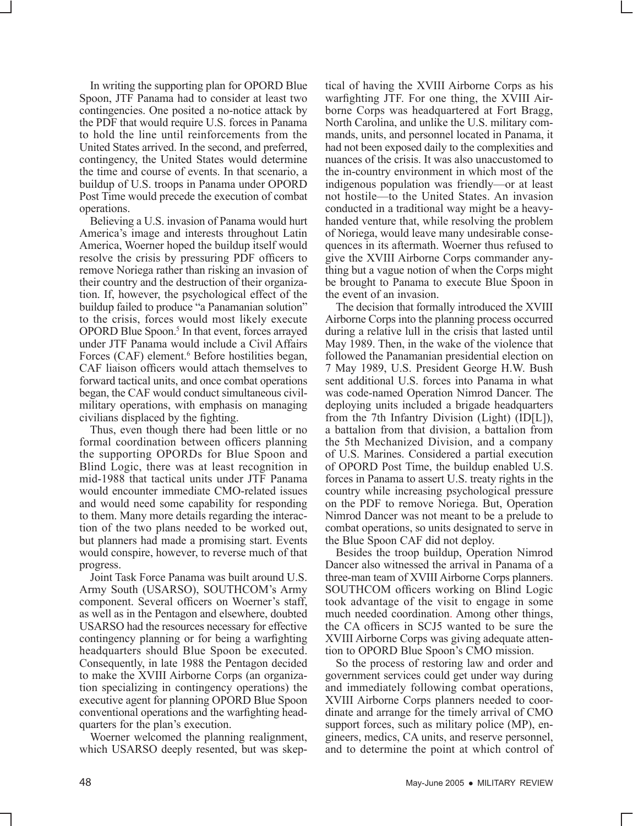In writing the supporting plan for OPORD Blue Spoon, JTF Panama had to consider at least two contingencies. One posited a no-notice attack by the PDF that would require U.S. forces in Panama to hold the line until reinforcements from the United States arrived. In the second, and preferred, contingency, the United States would determine the time and course of events. In that scenario, a buildup of U.S. troops in Panama under OPORD Post Time would precede the execution of combat operations.

Believing a U.S. invasion of Panama would hurt America's image and interests throughout Latin America, Woerner hoped the buildup itself would resolve the crisis by pressuring PDF officers to remove Noriega rather than risking an invasion of their country and the destruction of their organization. If, however, the psychological effect of the buildup failed to produce "a Panamanian solution" to the crisis, forces would most likely execute OPORD Blue Spoon.<sup>5</sup> In that event, forces arrayed under JTF Panama would include a Civil Affairs Forces (CAF) element.<sup>6</sup> Before hostilities began, CAF liaison officers would attach themselves to forward tactical units, and once combat operations began, the CAF would conduct simultaneous civilmilitary operations, with emphasis on managing civilians displaced by the fighting.

Thus, even though there had been little or no formal coordination between officers planning the supporting OPORDs for Blue Spoon and Blind Logic, there was at least recognition in mid-1988 that tactical units under JTF Panama would encounter immediate CMO-related issues and would need some capability for responding to them. Many more details regarding the interaction of the two plans needed to be worked out, but planners had made a promising start. Events would conspire, however, to reverse much of that progress.

Joint Task Force Panama was built around U.S. Army South (USARSO), SOUTHCOM's Army component. Several officers on Woerner's staff, as well as in the Pentagon and elsewhere, doubted USARSO had the resources necessary for effective contingency planning or for being a warfighting headquarters should Blue Spoon be executed. Consequently, in late 1988 the Pentagon decided to make the XVIII Airborne Corps (an organization specializing in contingency operations) the executive agent for planning OPORD Blue Spoon conventional operations and the warfighting headquarters for the plan's execution.

Woerner welcomed the planning realignment, which USARSO deeply resented, but was skeptical of having the XVIII Airborne Corps as his warfighting JTF. For one thing, the XVIII Airborne Corps was headquartered at Fort Bragg, North Carolina, and unlike the U.S. military commands, units, and personnel located in Panama, it had not been exposed daily to the complexities and nuances of the crisis. It was also unaccustomed to the in-country environment in which most of the indigenous population was friendly—or at least not hostile—to the United States. An invasion conducted in a traditional way might be a heavyhanded venture that, while resolving the problem of Noriega, would leave many undesirable consequences in its aftermath. Woerner thus refused to give the XVIII Airborne Corps commander anything but a vague notion of when the Corps might be brought to Panama to execute Blue Spoon in the event of an invasion.

The decision that formally introduced the XVIII Airborne Corps into the planning process occurred during a relative lull in the crisis that lasted until May 1989. Then, in the wake of the violence that followed the Panamanian presidential election on 7 May 1989, U.S. President George H.W. Bush sent additional U.S. forces into Panama in what was code-named Operation Nimrod Dancer. The deploying units included a brigade headquarters from the 7th Infantry Division (Light) (ID[L]), a battalion from that division, a battalion from the 5th Mechanized Division, and a company of U.S. Marines. Considered a partial execution of OPORD Post Time, the buildup enabled U.S. forces in Panama to assert U.S. treaty rights in the country while increasing psychological pressure on the PDF to remove Noriega. But, Operation Nimrod Dancer was not meant to be a prelude to combat operations, so units designated to serve in the Blue Spoon CAF did not deploy.

Besides the troop buildup, Operation Nimrod Dancer also witnessed the arrival in Panama of a three-man team of XVIII Airborne Corps planners. SOUTHCOM officers working on Blind Logic took advantage of the visit to engage in some much needed coordination. Among other things, the CA officers in SCJ5 wanted to be sure the XVIII Airborne Corps was giving adequate attention to OPORD Blue Spoon's CMO mission.

So the process of restoring law and order and government services could get under way during and immediately following combat operations, XVIII Airborne Corps planners needed to coordinate and arrange for the timely arrival of CMO support forces, such as military police (MP), engineers, medics, CA units, and reserve personnel, and to determine the point at which control of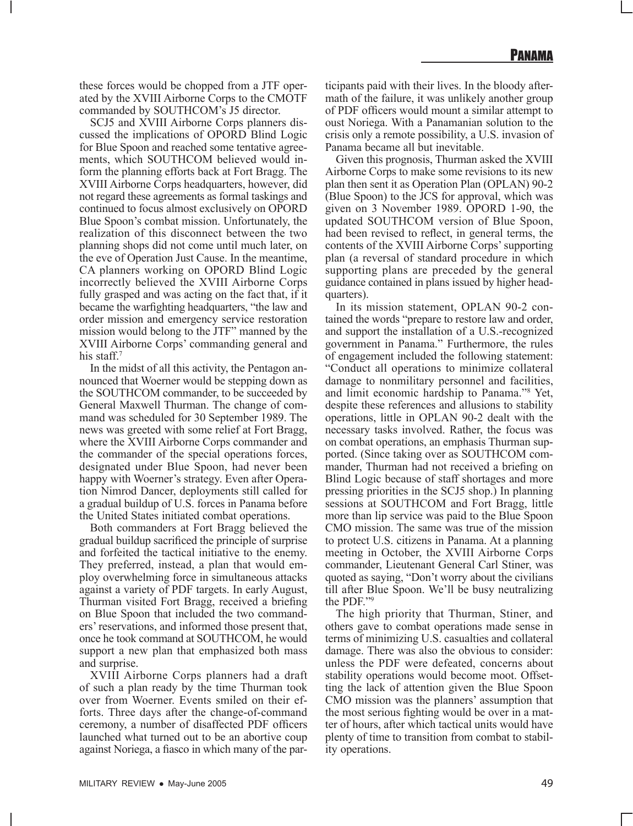these forces would be chopped from a JTF operated by the XVIII Airborne Corps to the CMOTF commanded by SOUTHCOM's J5 director.

SCJ5 and XVIII Airborne Corps planners discussed the implications of OPORD Blind Logic for Blue Spoon and reached some tentative agreements, which SOUTHCOM believed would inform the planning efforts back at Fort Bragg. The XVIII Airborne Corps headquarters, however, did not regard these agreements as formal taskings and continued to focus almost exclusively on OPORD Blue Spoon's combat mission. Unfortunately, the realization of this disconnect between the two planning shops did not come until much later, on the eve of Operation Just Cause. In the meantime, CA planners working on OPORD Blind Logic incorrectly believed the XVIII Airborne Corps fully grasped and was acting on the fact that, if it became the warfighting headquarters, "the law and order mission and emergency service restoration mission would belong to the JTF" manned by the XVIII Airborne Corps' commanding general and his staff.<sup>7</sup>

In the midst of all this activity, the Pentagon announced that Woerner would be stepping down as the SOUTHCOM commander, to be succeeded by General Maxwell Thurman. The change of command was scheduled for 30 September 1989. The news was greeted with some relief at Fort Bragg, where the XVIII Airborne Corps commander and the commander of the special operations forces, designated under Blue Spoon, had never been happy with Woerner's strategy. Even after Operation Nimrod Dancer, deployments still called for a gradual buildup of U.S. forces in Panama before the United States initiated combat operations.

Both commanders at Fort Bragg believed the gradual buildup sacrificed the principle of surprise and forfeited the tactical initiative to the enemy. They preferred, instead, a plan that would employ overwhelming force in simultaneous attacks against a variety of PDF targets. In early August, Thurman visited Fort Bragg, received a briefing on Blue Spoon that included the two commanders' reservations, and informed those present that, once he took command at SOUTHCOM, he would support a new plan that emphasized both mass and surprise.

XVIII Airborne Corps planners had a draft of such a plan ready by the time Thurman took over from Woerner. Events smiled on their efforts. Three days after the change-of-command ceremony, a number of disaffected PDF officers launched what turned out to be an abortive coup against Noriega, a fiasco in which many of the participants paid with their lives. In the bloody aftermath of the failure, it was unlikely another group of PDF officers would mount a similar attempt to oust Noriega. With a Panamanian solution to the crisis only a remote possibility, a U.S. invasion of Panama became all but inevitable.

Given this prognosis, Thurman asked the XVIII Airborne Corps to make some revisions to its new plan then sent it as Operation Plan (OPLAN) 90-2 (Blue Spoon) to the JCS for approval, which was given on 3 November 1989. OPORD 1-90, the updated SOUTHCOM version of Blue Spoon, had been revised to reflect, in general terms, the contents of the XVIII Airborne Corps' supporting plan (a reversal of standard procedure in which supporting plans are preceded by the general guidance contained in plans issued by higher headquarters).

In its mission statement, OPLAN 90-2 contained the words "prepare to restore law and order, and support the installation of a U.S.-recognized government in Panama." Furthermore, the rules of engagement included the following statement: "Conduct all operations to minimize collateral damage to nonmilitary personnel and facilities, and limit economic hardship to Panama."8 Yet, despite these references and allusions to stability operations, little in OPLAN 90-2 dealt with the necessary tasks involved. Rather, the focus was on combat operations, an emphasis Thurman supported. (Since taking over as SOUTHCOM commander, Thurman had not received a briefing on Blind Logic because of staff shortages and more pressing priorities in the SCJ5 shop.) In planning sessions at SOUTHCOM and Fort Bragg, little more than lip service was paid to the Blue Spoon CMO mission. The same was true of the mission to protect U.S. citizens in Panama. At a planning meeting in October, the XVIII Airborne Corps commander, Lieutenant General Carl Stiner, was quoted as saying, "Don't worry about the civilians till after Blue Spoon. We'll be busy neutralizing the PDF."9

The high priority that Thurman, Stiner, and others gave to combat operations made sense in terms of minimizing U.S. casualties and collateral damage. There was also the obvious to consider: unless the PDF were defeated, concerns about stability operations would become moot. Offsetting the lack of attention given the Blue Spoon CMO mission was the planners' assumption that the most serious fighting would be over in a matter of hours, after which tactical units would have plenty of time to transition from combat to stability operations.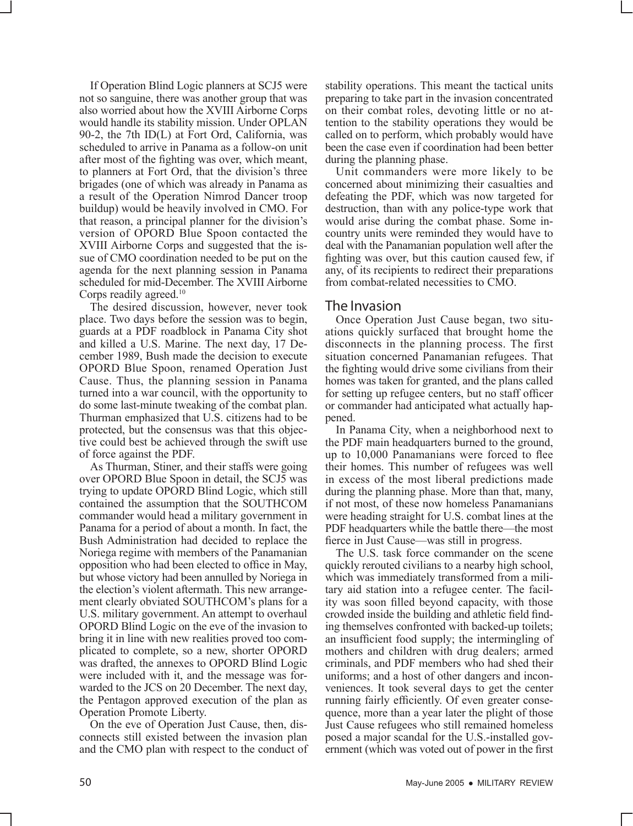If Operation Blind Logic planners at SCJ5 were not so sanguine, there was another group that was also worried about how the XVIII Airborne Corps would handle its stability mission. Under OPLAN 90-2, the 7th ID(L) at Fort Ord, California, was scheduled to arrive in Panama as a follow-on unit after most of the fighting was over, which meant, to planners at Fort Ord, that the division's three brigades (one of which was already in Panama as a result of the Operation Nimrod Dancer troop buildup) would be heavily involved in CMO. For that reason, a principal planner for the division's version of OPORD Blue Spoon contacted the XVIII Airborne Corps and suggested that the issue of CMO coordination needed to be put on the agenda for the next planning session in Panama scheduled for mid-December. The XVIII Airborne Corps readily agreed.<sup>10</sup>

The desired discussion, however, never took place. Two days before the session was to begin, guards at a PDF roadblock in Panama City shot and killed a U.S. Marine. The next day, 17 December 1989, Bush made the decision to execute OPORD Blue Spoon, renamed Operation Just Cause. Thus, the planning session in Panama turned into a war council, with the opportunity to do some last-minute tweaking of the combat plan. Thurman emphasized that U.S. citizens had to be protected, but the consensus was that this objective could best be achieved through the swift use of force against the PDF.

As Thurman, Stiner, and their staffs were going over OPORD Blue Spoon in detail, the SCJ5 was trying to update OPORD Blind Logic, which still contained the assumption that the SOUTHCOM commander would head a military government in Panama for a period of about a month. In fact, the Bush Administration had decided to replace the Noriega regime with members of the Panamanian opposition who had been elected to office in May, but whose victory had been annulled by Noriega in the election's violent aftermath. This new arrangement clearly obviated SOUTHCOM's plans for a U.S. military government. An attempt to overhaul OPORD Blind Logic on the eve of the invasion to bring it in line with new realities proved too complicated to complete, so a new, shorter OPORD was drafted, the annexes to OPORD Blind Logic were included with it, and the message was forwarded to the JCS on 20 December. The next day, the Pentagon approved execution of the plan as Operation Promote Liberty.

On the eve of Operation Just Cause, then, disconnects still existed between the invasion plan and the CMO plan with respect to the conduct of stability operations. This meant the tactical units preparing to take part in the invasion concentrated on their combat roles, devoting little or no attention to the stability operations they would be called on to perform, which probably would have been the case even if coordination had been better during the planning phase.

Unit commanders were more likely to be concerned about minimizing their casualties and defeating the PDF, which was now targeted for destruction, than with any police-type work that would arise during the combat phase. Some incountry units were reminded they would have to deal with the Panamanian population well after the fighting was over, but this caution caused few, if any, of its recipients to redirect their preparations from combat-related necessities to CMO.

#### The Invasion

Once Operation Just Cause began, two situations quickly surfaced that brought home the disconnects in the planning process. The first situation concerned Panamanian refugees. That the fighting would drive some civilians from their homes was taken for granted, and the plans called for setting up refugee centers, but no staff officer or commander had anticipated what actually happened.

In Panama City, when a neighborhood next to the PDF main headquarters burned to the ground, up to 10,000 Panamanians were forced to flee their homes. This number of refugees was well in excess of the most liberal predictions made during the planning phase. More than that, many, if not most, of these now homeless Panamanians were heading straight for U.S. combat lines at the PDF headquarters while the battle there—the most fierce in Just Cause—was still in progress.

The U.S. task force commander on the scene quickly rerouted civilians to a nearby high school, which was immediately transformed from a military aid station into a refugee center. The facility was soon filled beyond capacity, with those crowded inside the building and athletic field finding themselves confronted with backed-up toilets; an insufficient food supply; the intermingling of mothers and children with drug dealers; armed criminals, and PDF members who had shed their uniforms; and a host of other dangers and inconveniences. It took several days to get the center running fairly efficiently. Of even greater consequence, more than a year later the plight of those Just Cause refugees who still remained homeless posed a major scandal for the U.S.-installed government (which was voted out of power in the first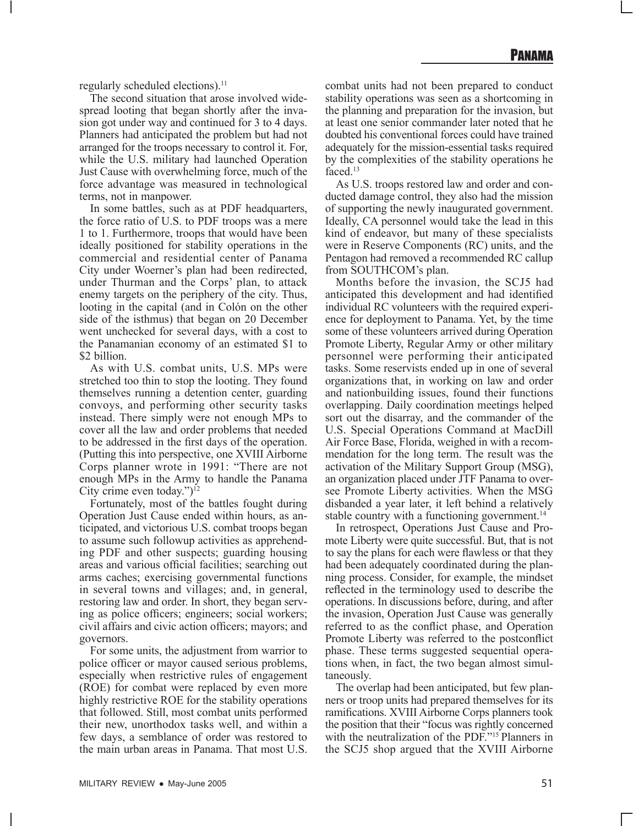regularly scheduled elections).<sup>11</sup>

The second situation that arose involved widespread looting that began shortly after the invasion got under way and continued for 3 to 4 days. Planners had anticipated the problem but had not arranged for the troops necessary to control it. For, while the U.S. military had launched Operation Just Cause with overwhelming force, much of the force advantage was measured in technological terms, not in manpower.

In some battles, such as at PDF headquarters, the force ratio of U.S. to PDF troops was a mere 1 to 1. Furthermore, troops that would have been ideally positioned for stability operations in the commercial and residential center of Panama City under Woerner's plan had been redirected, under Thurman and the Corps' plan, to attack enemy targets on the periphery of the city. Thus, looting in the capital (and in Colón on the other side of the isthmus) that began on 20 December went unchecked for several days, with a cost to the Panamanian economy of an estimated \$1 to \$2 billion.

As with U.S. combat units, U.S. MPs were stretched too thin to stop the looting. They found themselves running a detention center, guarding convoys, and performing other security tasks instead. There simply were not enough MPs to cover all the law and order problems that needed to be addressed in the first days of the operation. (Putting this into perspective, one XVIII Airborne Corps planner wrote in 1991: "There are not enough MPs in the Army to handle the Panama City crime even today.")<sup>12</sup>

Fortunately, most of the battles fought during Operation Just Cause ended within hours, as anticipated, and victorious U.S. combat troops began to assume such followup activities as apprehending PDF and other suspects; guarding housing areas and various official facilities; searching out arms caches; exercising governmental functions in several towns and villages; and, in general, restoring law and order. In short, they began serving as police officers; engineers; social workers; civil affairs and civic action officers; mayors; and governors.

For some units, the adjustment from warrior to police officer or mayor caused serious problems, especially when restrictive rules of engagement (ROE) for combat were replaced by even more highly restrictive ROE for the stability operations that followed. Still, most combat units performed their new, unorthodox tasks well, and within a few days, a semblance of order was restored to the main urban areas in Panama. That most U.S.

combat units had not been prepared to conduct stability operations was seen as a shortcoming in the planning and preparation for the invasion, but at least one senior commander later noted that he doubted his conventional forces could have trained adequately for the mission-essential tasks required by the complexities of the stability operations he faced.<sup>13</sup>

As U.S. troops restored law and order and conducted damage control, they also had the mission of supporting the newly inaugurated government. Ideally, CA personnel would take the lead in this kind of endeavor, but many of these specialists were in Reserve Components (RC) units, and the Pentagon had removed a recommended RC callup from SOUTHCOM's plan.

Months before the invasion, the SCJ5 had anticipated this development and had identified individual RC volunteers with the required experience for deployment to Panama. Yet, by the time some of these volunteers arrived during Operation Promote Liberty, Regular Army or other military personnel were performing their anticipated tasks. Some reservists ended up in one of several organizations that, in working on law and order and nationbuilding issues, found their functions overlapping. Daily coordination meetings helped sort out the disarray, and the commander of the U.S. Special Operations Command at MacDill Air Force Base, Florida, weighed in with a recommendation for the long term. The result was the activation of the Military Support Group (MSG), an organization placed under JTF Panama to oversee Promote Liberty activities. When the MSG disbanded a year later, it left behind a relatively stable country with a functioning government.<sup>14</sup>

In retrospect, Operations Just Cause and Promote Liberty were quite successful. But, that is not to say the plans for each were flawless or that they had been adequately coordinated during the planning process. Consider, for example, the mindset reflected in the terminology used to describe the operations. In discussions before, during, and after the invasion, Operation Just Cause was generally referred to as the conflict phase, and Operation Promote Liberty was referred to the postconflict phase. These terms suggested sequential operations when, in fact, the two began almost simultaneously.

The overlap had been anticipated, but few planners or troop units had prepared themselves for its ramifications. XVIII Airborne Corps planners took the position that their "focus was rightly concerned with the neutralization of the PDF."<sup>15</sup> Planners in the SCJ5 shop argued that the XVIII Airborne